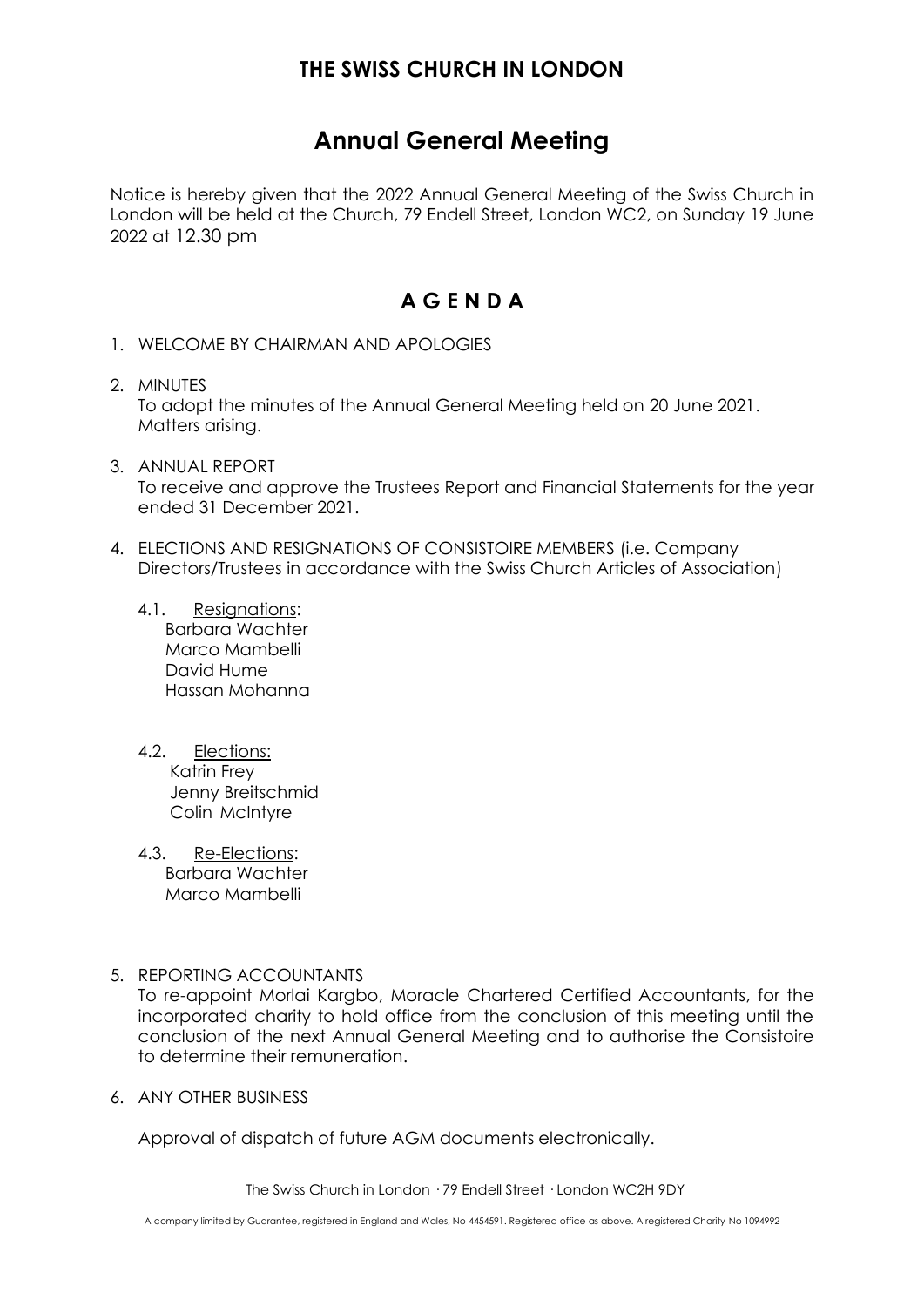## **THE SWISS CHURCH IN LONDON**

## **Annual General Meeting**

Notice is hereby given that the 2022 Annual General Meeting of the Swiss Church in London will be held at the Church, 79 Endell Street, London WC2, on Sunday 19 June 2022 at 12.30 pm

## **A G E N D A**

- 1. WELCOME BY CHAIRMAN AND APOLOGIES
- 2. MINUTES To adopt the minutes of the Annual General Meeting held on 20 June 2021. Matters arising.
- 3. ANNUAL REPORT To receive and approve the Trustees Report and Financial Statements for the year ended 31 December 2021.
- 4. ELECTIONS AND RESIGNATIONS OF CONSISTOIRE MEMBERS (i.e. Company Directors/Trustees in accordance with the Swiss Church Articles of Association)
	- 4.1. Resignations: Barbara Wachter Marco Mambelli David Hume Hassan Mohanna
	- 4.2. Elections: Katrin Frey Jenny Breitschmid Colin McIntyre
	- 4.3. Re-Elections: Barbara Wachter Marco Mambelli
- 5. REPORTING ACCOUNTANTS

To re-appoint Morlai Kargbo, Moracle Chartered Certified Accountants, for the incorporated charity to hold office from the conclusion of this meeting until the conclusion of the next Annual General Meeting and to authorise the Consistoire to determine their remuneration.

6. ANY OTHER BUSINESS

Approval of dispatch of future AGM documents electronically.

The Swiss Church in London · 79 Endell Street · London WC2H 9DY